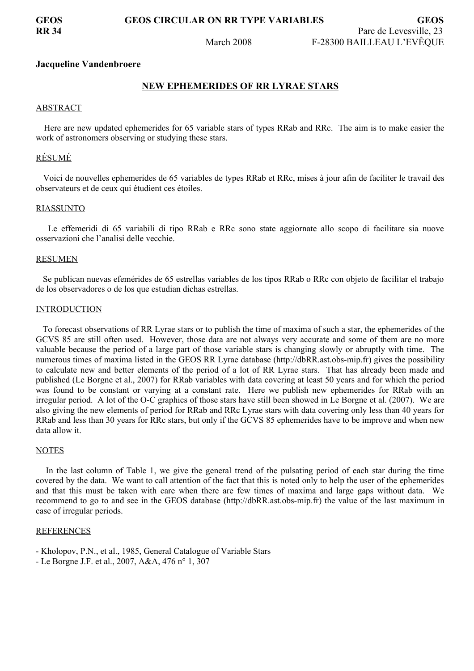# **GEOS GEOS CIRCULAR ON RR TYPE VARIABLES GEOS**

**RR 34** Parc de Levesville, 23 March 2008 F-28300 BAILLEAU L'EVÊQUE

### **Jacqueline Vandenbroere**

# **NEW EPHEMERIDES OF RR LYRAE STARS**

### ABSTRACT

Here are new updated ephemerides for 65 variable stars of types RRab and RRc. The aim is to make easier the work of astronomers observing or studying these stars.

# RÉSUMÉ

Voici de nouvelles ephemerides de 65 variables de types RRab et RRc, mises à jour afin de faciliter le travail des observateurs et de ceux qui étudient ces étoiles.

### RIASSUNTO

Le effemeridi di 65 variabili di tipo RRab e RRc sono state aggiornate allo scopo di facilitare sia nuove osservazioni che l'analisi delle vecchie.

#### RESUMEN

Se publican nuevas efemérides de 65 estrellas variables de los tipos RRab o RRc con objeto de facilitar el trabajo de los observadores o de los que estudian dichas estrellas.

### **INTRODUCTION**

To forecast observations of RR Lyrae stars or to publish the time of maxima of such a star, the ephemerides of the GCVS 85 are still often used. However, those data are not always very accurate and some of them are no more valuable because the period of a large part of those variable stars is changing slowly or abruptly with time. The numerous times of maxima listed in the GEOS RR Lyrae database (http://dbRR.ast.obs-mip.fr) gives the possibility to calculate new and better elements of the period of a lot of RR Lyrae stars. That has already been made and published (Le Borgne et al., 2007) for RRab variables with data covering at least 50 years and for which the period was found to be constant or varying at a constant rate. Here we publish new ephemerides for RRab with an irregular period. A lot of the O-C graphics of those stars have still been showed in Le Borgne et al. (2007). We are also giving the new elements of period for RRab and RRc Lyrae stars with data covering only less than 40 years for RRab and less than 30 years for RRc stars, but only if the GCVS 85 ephemerides have to be improve and when new data allow it.

# **NOTES**

In the last column of Table 1, we give the general trend of the pulsating period of each star during the time covered by the data. We want to call attention of the fact that this is noted only to help the user of the ephemerides and that this must be taken with care when there are few times of maxima and large gaps without data. We recommend to go to and see in the GEOS database (http://dbRR.ast.obs-mip.fr) the value of the last maximum in case of irregular periods.

# **REFERENCES**

- Kholopov, P.N., et al., 1985, General Catalogue of Variable Stars
- Le Borgne J.F. et al., 2007, A&A, 476 n° 1, 307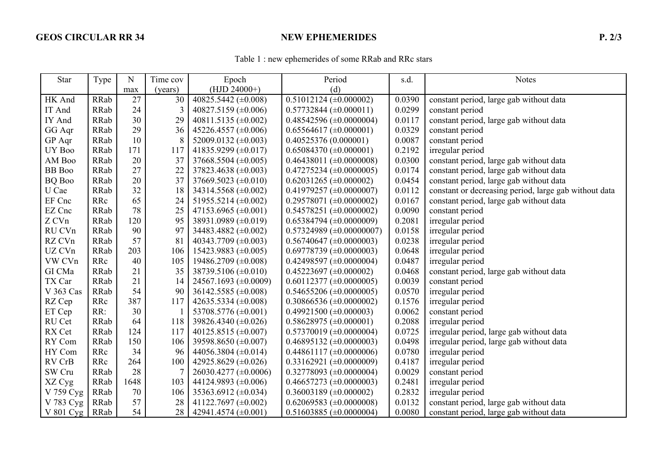# GEOS CIRCULAR RR 34 NEW EPHEMERIDES **P. 2/3**

| Table 1: new ephemerides of some RRab and RRc stars |
|-----------------------------------------------------|
|                                                     |

| <b>Star</b>   | Type        | $\mathbf N$ | Time cov | Epoch                      | Period                          | s.d.   | <b>Notes</b>                                          |
|---------------|-------------|-------------|----------|----------------------------|---------------------------------|--------|-------------------------------------------------------|
|               |             | max         | (years)  | $(HJD 24000+)$             | (d)                             |        |                                                       |
| HK And        | RRab        | 27          | 30       | 40825.5442 ( $\pm$ 0.008)  | $0.51012124 \ (\pm 0.000002)$   | 0.0390 | constant period, large gab without data               |
| IT And        | RRab        | 24          | 3        | 40827.5159 ( $\pm$ 0.006)  | $0.57732844 \ (\pm 0.000011)$   | 0.0299 | constant period                                       |
| IY And        | RRab        | 30          | 29       | 40811.5135 ( $\pm$ 0.002)  | $0.48542596 \ (\pm 0.0000004)$  | 0.0117 | constant period, large gab without data               |
| GG Aqr        | RRab        | 29          | 36       | 45226.4557 (±0.006)        | $0.65564617 \ (\pm 0.000001)$   | 0.0329 | constant period                                       |
| GP Aqr        | <b>RRab</b> | 10          | 8        | 52009.0132 ( $\pm$ 0.003)  | 0.40525376(0.000001)            | 0.0087 | constant period                                       |
| UY Boo        | RRab        | 171         | 117      | 41835.9299 ( $\pm$ 0.017)  | $0.65084370 \ (\pm 0.000001)$   | 0.2192 | irregular period                                      |
| AM Boo        | <b>RRab</b> | 20          | 37       | 37668.5504 (±0.005)        | 0.46438011 ( $\pm$ 0.0000008)   | 0.0300 | constant period, large gab without data               |
| <b>BB</b> Boo | RRab        | 27          | 22       | 37823.4638 (±0.003)        | $0.47275234 \ (\pm 0.0000005)$  | 0.0174 | constant period, large gab without data               |
| <b>BQ</b> Boo | <b>RRab</b> | 20          | 37       | 37669.5023 ( $\pm$ 0.010)  | $0.62031265 \ (\pm 0.000002)$   | 0.0454 | constant period, large gab without data               |
| U Cae         | <b>RRab</b> | 32          | 18       | 34314.5568 $(\pm 0.002)$   | $0.41979257 \ (\pm 0.0000007)$  | 0.0112 | constant or decreasing period, large gab without data |
| EF Cnc        | RRc         | 65          | 24       | 51955.5214 (±0.002)        | $0.29578071 (\pm 0.0000002)$    | 0.0167 | constant period, large gab without data               |
| EZ Cnc        | RRab        | 78          | 25       | 47153.6965 ( $\pm 0.001$ ) | $0.54578251 (\pm 0.0000002)$    | 0.0090 | constant period                                       |
| Z CVn         | RRab        | 120         | 95       | 38931.0989 ( $\pm$ 0.019)  | $0.65384794 \ (\pm 0.0000009)$  | 0.2081 | irregular period                                      |
| RU CVn        | <b>RRab</b> | 90          | 97       | 34483.4882 ( $\pm$ 0.002)  | $0.57324989 \ (\pm 0.00000007)$ | 0.0158 | irregular period                                      |
| RZ CVn        | RRab        | 57          | 81       | 40343.7709 ( $\pm$ 0.003)  | $0.56740647 \ (\pm 0.0000003)$  | 0.0238 | irregular period                                      |
| UZ CVn        | RRab        | 203         | 106      | 15423.9883 $(\pm 0.005)$   | $0.69778739 \ (\pm 0.0000003)$  | 0.0648 | irregular period                                      |
| VW CVn        | RRc         | 40          | 105      | 19486.2709 ( $\pm$ 0.008)  | $0.42498597 \ (\pm 0.0000004)$  | 0.0487 | irregular period                                      |
| GI CMa        | RRab        | 21          | 35       | 38739.5106 ( $\pm$ 0.010)  | $0.45223697 \ (\pm 0.000002)$   | 0.0468 | constant period, large gab without data               |
| TX Car        | RRab        | 21          | 14       | 24567.1693 ( $\pm$ 0.0009) | $0.60112377 \ (\pm 0.0000005)$  | 0.0039 | constant period                                       |
| V 363 Cas     | RRab        | 54          | 90       | 36142.5585 ( $\pm$ 0.008)  | $0.54655206 \ (\pm 0.0000005)$  | 0.0570 | irregular period                                      |
| RZ Cep        | RRc         | 387         | 117      | 42635.5334 ( $\pm$ 0.008)  | $0.30866536 \ (\pm 0.0000002)$  | 0.1576 | irregular period                                      |
| ET Cep        | RR:         | 30          |          | 53708.5776 ( $\pm$ 0.001)  | $0.49921500 (\pm 0.000003)$     | 0.0062 | constant period                                       |
| RU Cet        | RRab        | 64          | 118      | 39826.4340 ( $\pm$ 0.026)  | $0.58628975 \ (\pm 0.000001)$   | 0.2088 | irregular period                                      |
| RX Cet        | RRab        | 124         | 117      | 40125.8515 (±0.007)        | $0.57370019 \ (\pm 0.0000004)$  | 0.0725 | irregular period, large gab without data              |
| RY Com        | RRab        | 150         | 106      | 39598.8650 (±0.007)        | $0.46895132 \ (\pm 0.0000003)$  | 0.0498 | irregular period, large gab without data              |
| HY Com        | RRc         | 34          | 96       | 44056.3804 ( $\pm$ 0.014)  | $0.44861117 \ (\pm 0.0000006)$  | 0.0780 | irregular period                                      |
| RV CrB        | RRc         | 264         | 100      | 42925.8629 ( $\pm$ 0.026)  | $0.33162921 (\pm 0.0000009)$    | 0.4187 | irregular period                                      |
| SW Cru        | RRab        | 28          | 7        | 26030.4277 ( $\pm$ 0.0006) | 0.32778093 ( $\pm$ 0.0000004)   | 0.0029 | constant period                                       |
| XZ Cyg        | RRab        | 1648        | 103      | 44124.9893 ( $\pm$ 0.006)  | $0.46657273 \ (\pm 0.0000003)$  | 0.2481 | irregular period                                      |
| V 759 Cyg     | RRab        | 70          | 106      | 35363.6912 ( $\pm$ 0.034)  | $0.36003189 \ (\pm 0.000002)$   | 0.2832 | irregular period                                      |
| V 783 Cyg     | RRab        | 57          | 28       | 41122.7697 ( $\pm$ 0.002)  | $0.62069583 \ (\pm 0.0000008)$  | 0.0132 | constant period, large gab without data               |
| V 801 Cyg     | RRab        | 54          | 28       | 42941.4574 $(\pm 0.001)$   | $0.51603885 \ (\pm 0.0000004)$  | 0.0080 | constant period, large gab without data               |